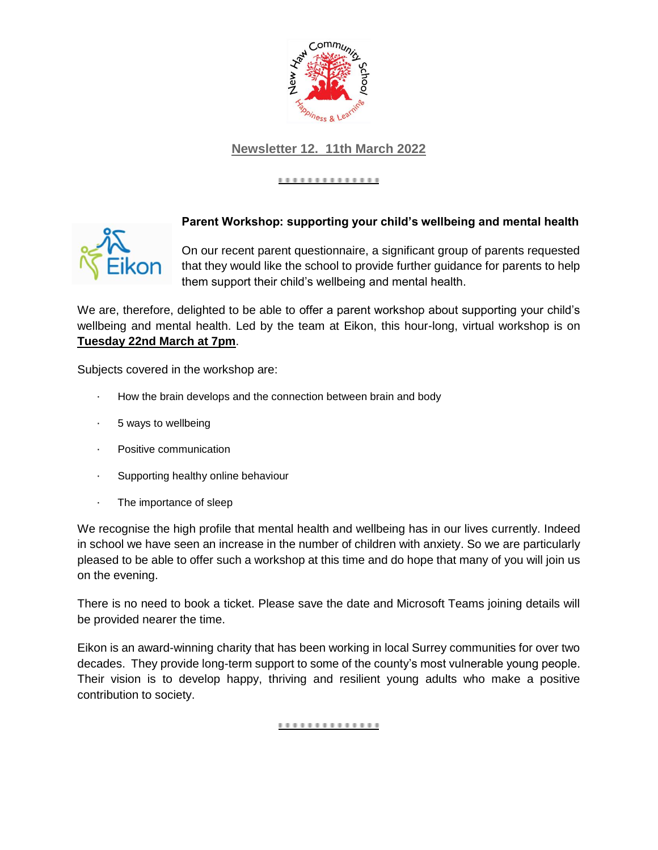

# **Newsletter 12. 11th March 2022**

### .............



## **Parent Workshop: supporting your child's wellbeing and mental health**

On our recent parent questionnaire, a significant group of parents requested that they would like the school to provide further guidance for parents to help them support their child's wellbeing and mental health.

We are, therefore, delighted to be able to offer a parent workshop about supporting your child's wellbeing and mental health. Led by the team at Eikon, this hour-long, virtual workshop is on **Tuesday 22nd March at 7pm**.

Subjects covered in the workshop are:

- How the brain develops and the connection between brain and body
- · 5 ways to wellbeing
- · Positive communication
- · Supporting healthy online behaviour
- · The importance of sleep

We recognise the high profile that mental health and wellbeing has in our lives currently. Indeed in school we have seen an increase in the number of children with anxiety. So we are particularly pleased to be able to offer such a workshop at this time and do hope that many of you will join us on the evening.

There is no need to book a ticket. Please save the date and Microsoft Teams joining details will be provided nearer the time.

Eikon is an award-winning charity that has been working in local Surrey communities for over two decades. They provide long-term support to some of the county's most vulnerable young people. Their vision is to develop happy, thriving and resilient young adults who make a positive contribution to society.

#### <u>...............</u>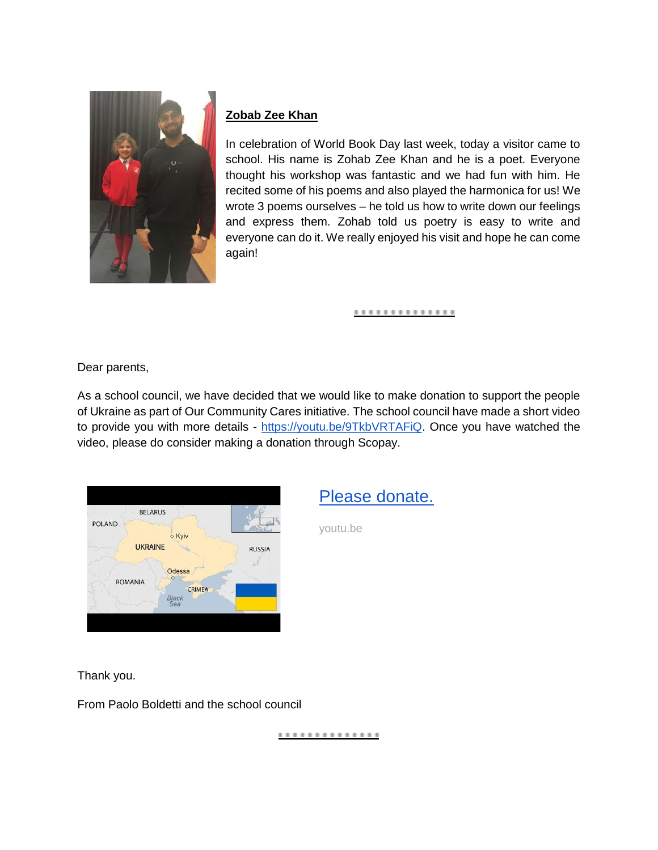

# **Zobab Zee Khan**

In celebration of World Book Day last week, today a visitor came to school. His name is Zohab Zee Khan and he is a poet. Everyone thought his workshop was fantastic and we had fun with him. He recited some of his poems and also played the harmonica for us! We wrote 3 poems ourselves – he told us how to write down our feelings and express them. Zohab told us poetry is easy to write and everyone can do it. We really enjoyed his visit and hope he can come again!

#### ..............

Dear parents,

As a school council, we have decided that we would like to make donation to support the people of Ukraine as part of Our Community Cares initiative. The school council have made a short video to provide you with more details [-](https://youtu.be/9TkbVRTAFiQ) [https://youtu.be/9TkbVRTAFiQ.](https://youtu.be/9TkbVRTAFiQ) Once you have watched the video, please do consider making a donation through Scopay.



[Please donate.](https://youtu.be/9TkbVRTAFiQ)

youtu.be

Thank you.

From Paolo Boldetti and the school council

..............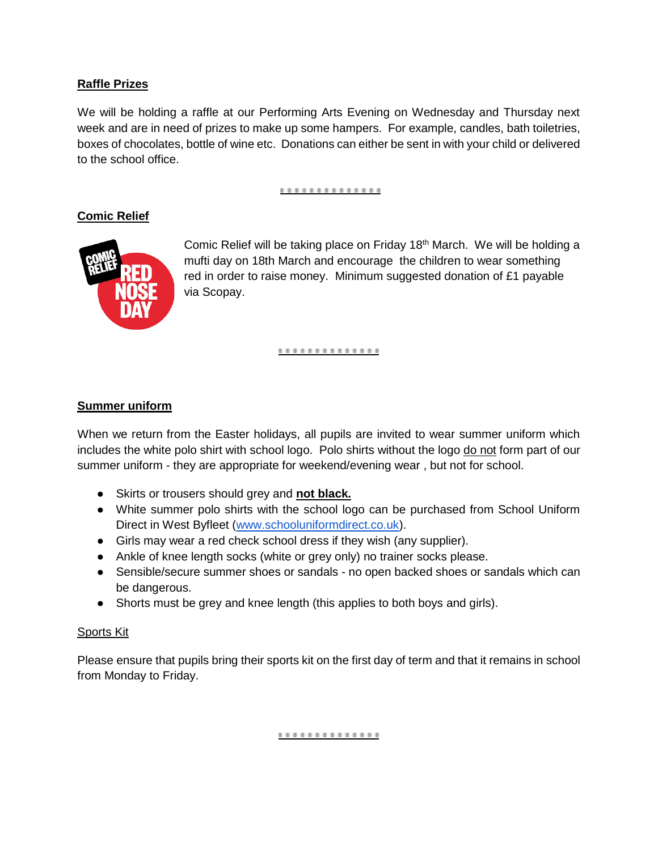## **Raffle Prizes**

We will be holding a raffle at our Performing Arts Evening on Wednesday and Thursday next week and are in need of prizes to make up some hampers. For example, candles, bath toiletries, boxes of chocolates, bottle of wine etc. Donations can either be sent in with your child or delivered to the school office.

#### ..............

## **Comic Relief**



Comic Relief will be taking place on Friday 18th March. We will be holding a mufti day on 18th March and encourage the children to wear something red in order to raise money. Minimum suggested donation of £1 payable via Scopay.

#### **..............**

## **Summer uniform**

When we return from the Easter holidays, all pupils are invited to wear summer uniform which includes the white polo shirt with school logo. Polo shirts without the logo do not form part of our summer uniform - they are appropriate for weekend/evening wear , but not for school.

- Skirts or trousers should grey and **not black.**
- White summer polo shirts with the school logo can be purchased from School Uniform Direct in West Byfleet [\(www.schooluniformdirect.co.uk\)](http://www.schooluniformdirect.co.uk/).
- Girls may wear a red check school dress if they wish (any supplier).
- Ankle of knee length socks (white or grey only) no trainer socks please.
- Sensible/secure summer shoes or sandals no open backed shoes or sandals which can be dangerous.
- Shorts must be grey and knee length (this applies to both boys and girls).

## Sports Kit

Please ensure that pupils bring their sports kit on the first day of term and that it remains in school from Monday to Friday.

..............